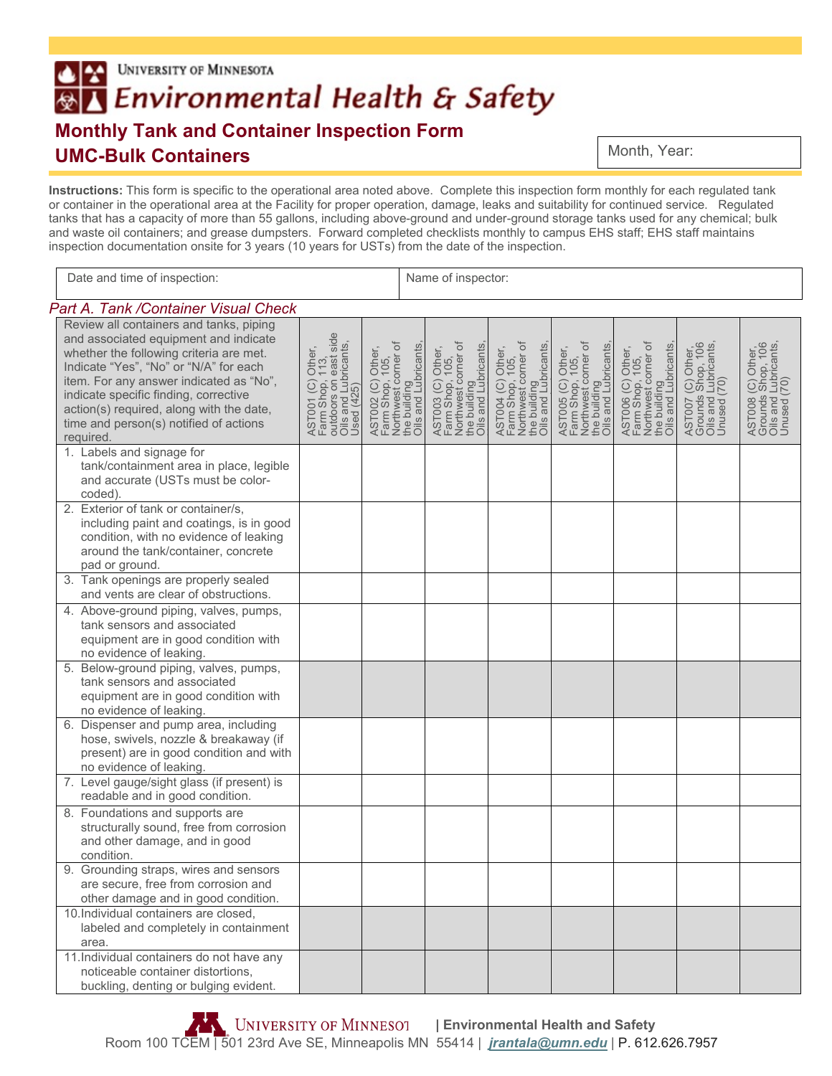# **UNIVERSITY OF MINNESOTA** ľхI ®∆ Environmental Health & Safety **Monthly Tank and Container Inspection Form UMC-Bulk Containers**

Month, Year:

**Instructions:** This form is specific to the operational area noted above. Complete this inspection form monthly for each regulated tank or container in the operational area at the Facility for proper operation, damage, leaks and suitability for continued service. Regulated tanks that has a capacity of more than 55 gallons, including above-ground and under-ground storage tanks used for any chemical; bulk and waste oil containers; and grease dumpsters. Forward completed checklists monthly to campus EHS staff; EHS staff maintains inspection documentation onsite for 3 years (10 years for USTs) from the date of the inspection.

| Date and time of inspection:                                                                                                                                                                                                                                                                                                                                 |                                                                                                     | Name of inspector:                                                                                  |  |                                                                                                    |                                                                                                     |                                                                                                     |                                                                                                     |                                                                               |                                                                               |
|--------------------------------------------------------------------------------------------------------------------------------------------------------------------------------------------------------------------------------------------------------------------------------------------------------------------------------------------------------------|-----------------------------------------------------------------------------------------------------|-----------------------------------------------------------------------------------------------------|--|----------------------------------------------------------------------------------------------------|-----------------------------------------------------------------------------------------------------|-----------------------------------------------------------------------------------------------------|-----------------------------------------------------------------------------------------------------|-------------------------------------------------------------------------------|-------------------------------------------------------------------------------|
| Part A. Tank / Container Visual Check                                                                                                                                                                                                                                                                                                                        |                                                                                                     |                                                                                                     |  |                                                                                                    |                                                                                                     |                                                                                                     |                                                                                                     |                                                                               |                                                                               |
| Review all containers and tanks, piping<br>and associated equipment and indicate<br>whether the following criteria are met.<br>Indicate "Yes", "No" or "N/A" for each<br>item. For any answer indicated as "No",<br>indicate specific finding, corrective<br>action(s) required, along with the date,<br>time and person(s) notified of actions<br>required. | AST001 (C) Other,<br>Farm Shop, 113,<br>outdoors on east side<br>Oils and Lubricants,<br>Used (425) | AST002 (C) Other,<br>Farm Shop, 105,<br>Northwest corner of<br>the building<br>Oils and Lubricants, |  | AST003 (C) Other,<br>Farm Shop, 105,<br>Northwest corner of<br>the building<br>Oils and Lubricants | AST004 (C) Other,<br>Farm Shop, 105,<br>Northwest corner of<br>the building<br>Oils and Lubricants, | ASTO05 (C) Other,<br>Farm Shop, 105,<br>Northwest corner of<br>the building<br>Oils and Lubricants, | AST006 (C) Other,<br>Farm Shop, 105,<br>Northwest corner of<br>the building<br>Oils and Lubricants, | AST007 (C) Other,<br>Grounds Shop, 106<br>Oils and Lubricants,<br>Unused (70) | AST008 (C) Other,<br>Grounds Shop, 106<br>Oils and Lubricants,<br>Unused (70) |
| 1. Labels and signage for<br>tank/containment area in place, legible<br>and accurate (USTs must be color-<br>coded).                                                                                                                                                                                                                                         |                                                                                                     |                                                                                                     |  |                                                                                                    |                                                                                                     |                                                                                                     |                                                                                                     |                                                                               |                                                                               |
| 2. Exterior of tank or container/s,<br>including paint and coatings, is in good<br>condition, with no evidence of leaking<br>around the tank/container, concrete<br>pad or ground.                                                                                                                                                                           |                                                                                                     |                                                                                                     |  |                                                                                                    |                                                                                                     |                                                                                                     |                                                                                                     |                                                                               |                                                                               |
| 3. Tank openings are properly sealed<br>and vents are clear of obstructions.                                                                                                                                                                                                                                                                                 |                                                                                                     |                                                                                                     |  |                                                                                                    |                                                                                                     |                                                                                                     |                                                                                                     |                                                                               |                                                                               |
| 4. Above-ground piping, valves, pumps,<br>tank sensors and associated<br>equipment are in good condition with<br>no evidence of leaking.                                                                                                                                                                                                                     |                                                                                                     |                                                                                                     |  |                                                                                                    |                                                                                                     |                                                                                                     |                                                                                                     |                                                                               |                                                                               |
| 5. Below-ground piping, valves, pumps,<br>tank sensors and associated<br>equipment are in good condition with<br>no evidence of leaking.                                                                                                                                                                                                                     |                                                                                                     |                                                                                                     |  |                                                                                                    |                                                                                                     |                                                                                                     |                                                                                                     |                                                                               |                                                                               |
| 6. Dispenser and pump area, including<br>hose, swivels, nozzle & breakaway (if<br>present) are in good condition and with<br>no evidence of leaking.                                                                                                                                                                                                         |                                                                                                     |                                                                                                     |  |                                                                                                    |                                                                                                     |                                                                                                     |                                                                                                     |                                                                               |                                                                               |
| 7. Level gauge/sight glass (if present) is<br>readable and in good condition.                                                                                                                                                                                                                                                                                |                                                                                                     |                                                                                                     |  |                                                                                                    |                                                                                                     |                                                                                                     |                                                                                                     |                                                                               |                                                                               |
| 8. Foundations and supports are<br>structurally sound, free from corrosion<br>and other damage, and in good<br>condition.                                                                                                                                                                                                                                    |                                                                                                     |                                                                                                     |  |                                                                                                    |                                                                                                     |                                                                                                     |                                                                                                     |                                                                               |                                                                               |
| 9. Grounding straps, wires and sensors<br>are secure, free from corrosion and<br>other damage and in good condition.                                                                                                                                                                                                                                         |                                                                                                     |                                                                                                     |  |                                                                                                    |                                                                                                     |                                                                                                     |                                                                                                     |                                                                               |                                                                               |
| 10.Individual containers are closed,<br>labeled and completely in containment<br>area.                                                                                                                                                                                                                                                                       |                                                                                                     |                                                                                                     |  |                                                                                                    |                                                                                                     |                                                                                                     |                                                                                                     |                                                                               |                                                                               |
| 11. Individual containers do not have any<br>noticeable container distortions,<br>buckling, denting or bulging evident.                                                                                                                                                                                                                                      |                                                                                                     |                                                                                                     |  |                                                                                                    |                                                                                                     |                                                                                                     |                                                                                                     |                                                                               |                                                                               |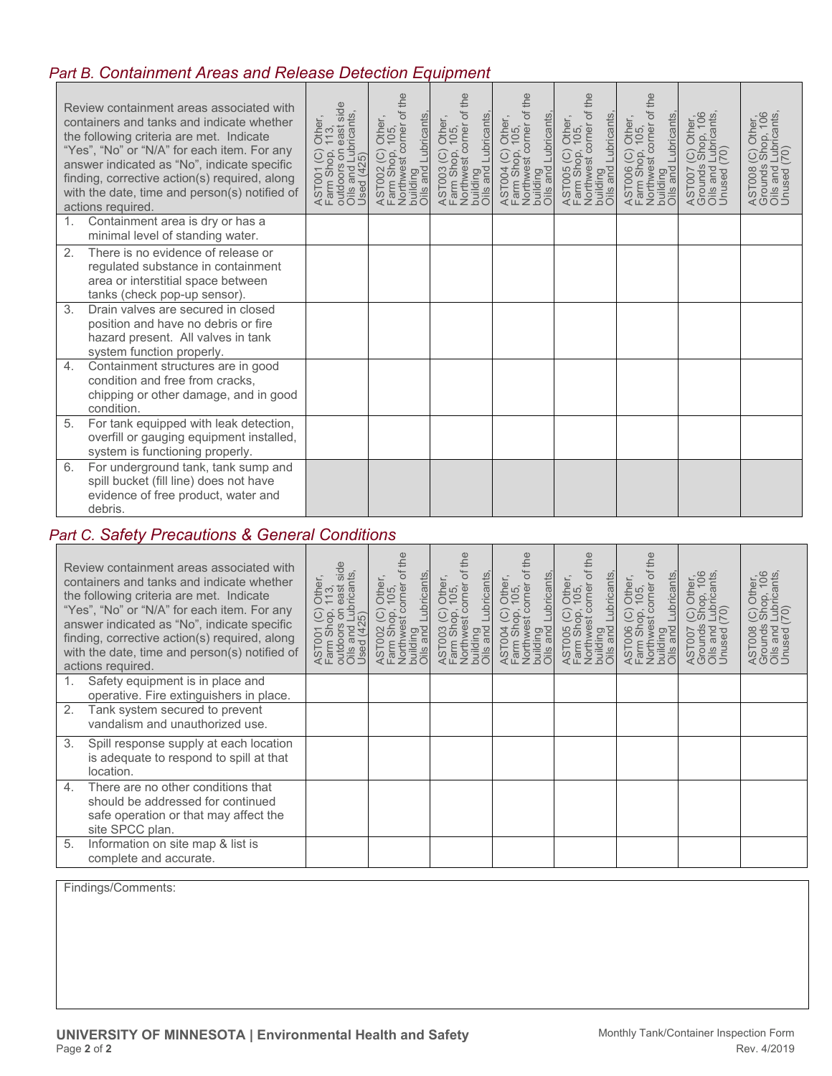## *Part B. Containment Areas and Release Detection Equipment*

| Review containment areas associated with<br>containers and tanks and indicate whether<br>the following criteria are met. Indicate<br>"Yes", "No" or "N/A" for each item. For any<br>answer indicated as "No", indicate specific<br>finding, corrective action(s) required, along<br>with the date, time and person(s) notified of<br>actions required. | Farm Shop, 113,<br>I Farm Shop, 113,<br>Oilsdoors Lubricants,<br>Oilsed (425) | Northwest corner of the<br>building<br>Oils and Lubricants<br>AST002 (C) Other,<br>Farm Shop, 105, | the<br>Northwest corner of<br>building<br>Oils and Lubricants<br>AST003 (C) Other,<br>Farm Shop, 105, | the<br>Farm Shop, 105,<br>Northwest corner of the<br>building<br>Oils and Lubricants,<br>AST004 (C) Other,<br>Farm Shop, 105, | the<br>AST005 (C) Other,<br>Farm Shop, 105,<br>Northwest corner of the<br>building<br>Oils and Lubricants, | the<br>AST006 (C) Other,<br>Farm Shop, 105,<br>Northwest corner of t<br>building<br>Oils and Lubricants, | AST007 (C) Other,<br>Grounds Shop, 106<br>Oils and Lubricants,<br>Unused (70) | i (C) Other,<br>Shop, 106<br>1 Lubricants,<br>(70)<br>Grounds<br>Oils and L<br>Unused (<br><b>AST008</b> |
|--------------------------------------------------------------------------------------------------------------------------------------------------------------------------------------------------------------------------------------------------------------------------------------------------------------------------------------------------------|-------------------------------------------------------------------------------|----------------------------------------------------------------------------------------------------|-------------------------------------------------------------------------------------------------------|-------------------------------------------------------------------------------------------------------------------------------|------------------------------------------------------------------------------------------------------------|----------------------------------------------------------------------------------------------------------|-------------------------------------------------------------------------------|----------------------------------------------------------------------------------------------------------|
| 1 <sup>1</sup><br>Containment area is dry or has a<br>minimal level of standing water.                                                                                                                                                                                                                                                                 |                                                                               |                                                                                                    |                                                                                                       |                                                                                                                               |                                                                                                            |                                                                                                          |                                                                               |                                                                                                          |
| There is no evidence of release or<br>$\mathcal{P}_{\cdot}$<br>regulated substance in containment<br>area or interstitial space between<br>tanks (check pop-up sensor).                                                                                                                                                                                |                                                                               |                                                                                                    |                                                                                                       |                                                                                                                               |                                                                                                            |                                                                                                          |                                                                               |                                                                                                          |
| 3.<br>Drain valves are secured in closed<br>position and have no debris or fire<br>hazard present. All valves in tank<br>system function properly.                                                                                                                                                                                                     |                                                                               |                                                                                                    |                                                                                                       |                                                                                                                               |                                                                                                            |                                                                                                          |                                                                               |                                                                                                          |
| Containment structures are in good<br>4.<br>condition and free from cracks,<br>chipping or other damage, and in good<br>condition.                                                                                                                                                                                                                     |                                                                               |                                                                                                    |                                                                                                       |                                                                                                                               |                                                                                                            |                                                                                                          |                                                                               |                                                                                                          |
| For tank equipped with leak detection,<br>5.<br>overfill or gauging equipment installed,<br>system is functioning properly.                                                                                                                                                                                                                            |                                                                               |                                                                                                    |                                                                                                       |                                                                                                                               |                                                                                                            |                                                                                                          |                                                                               |                                                                                                          |
| 6.<br>For underground tank, tank sump and<br>spill bucket (fill line) does not have<br>evidence of free product, water and<br>debris.                                                                                                                                                                                                                  |                                                                               |                                                                                                    |                                                                                                       |                                                                                                                               |                                                                                                            |                                                                                                          |                                                                               |                                                                                                          |

### *Part C. Safety Precautions & General Conditions*

| Review containment areas associated with<br>containers and tanks and indicate whether<br>the following criteria are met. Indicate<br>"Yes", "No" or "N/A" for each item. For any<br>answer indicated as "No", indicate specific<br>finding, corrective action(s) required, along<br>with the date, time and person(s) notified of<br>actions required. | east side<br>outdoors on east side<br>Oils and Lubricants,<br>Used (425)<br>Other,<br>113,<br>AST001 (C)<br>Farm Shop,<br>outdoors on | eq‡<br>Northwest corner of t<br>building<br>Oils and Lubricants,<br>Other,<br>105,<br>AST002 (C) (<br>Farm Shop, | the<br>Northwest corner of t<br>building<br>Oils and Lubricants,<br>Other,<br>105,<br>$\odot$<br>AST003 (C)<br>Farm Shop, | corner of<br>Lubricants<br>Other,<br>105,<br>$\odot$<br>iop<br>nwest<br>Northwes<br>building<br>Oils and<br>ASTO04<br>Farm Sh | Northwest corner of<br>Lubricants<br>Other,<br>105,<br>$\odot$<br>pop,<br>$\overline{and}$<br>AST005<br>Farm Sh<br>building<br><u>Oilo</u> | Northwest corner of<br>Lubricants<br>Other,<br>105,<br>$\widehat{\odot}$<br>AST006 (C)<br>Farm Shop,<br>building<br>Oils and I | (C) Other,<br>Shop, 106<br>Lubricants,<br>(70)<br>AST007<br>and<br>Jnused<br>Oils | (C) Other,<br>Shop, 106<br>Lubricants,<br>(70)<br>AST008 (<br>Grounds<br>Oils and L<br>Unused ( |
|--------------------------------------------------------------------------------------------------------------------------------------------------------------------------------------------------------------------------------------------------------------------------------------------------------------------------------------------------------|---------------------------------------------------------------------------------------------------------------------------------------|------------------------------------------------------------------------------------------------------------------|---------------------------------------------------------------------------------------------------------------------------|-------------------------------------------------------------------------------------------------------------------------------|--------------------------------------------------------------------------------------------------------------------------------------------|--------------------------------------------------------------------------------------------------------------------------------|-----------------------------------------------------------------------------------|-------------------------------------------------------------------------------------------------|
| Safety equipment is in place and<br>1.<br>operative. Fire extinguishers in place.                                                                                                                                                                                                                                                                      |                                                                                                                                       |                                                                                                                  |                                                                                                                           |                                                                                                                               |                                                                                                                                            |                                                                                                                                |                                                                                   |                                                                                                 |
| Tank system secured to prevent<br>2.<br>vandalism and unauthorized use.                                                                                                                                                                                                                                                                                |                                                                                                                                       |                                                                                                                  |                                                                                                                           |                                                                                                                               |                                                                                                                                            |                                                                                                                                |                                                                                   |                                                                                                 |
| 3.<br>Spill response supply at each location<br>is adequate to respond to spill at that<br>location.                                                                                                                                                                                                                                                   |                                                                                                                                       |                                                                                                                  |                                                                                                                           |                                                                                                                               |                                                                                                                                            |                                                                                                                                |                                                                                   |                                                                                                 |
| There are no other conditions that<br>$\overline{4}$ .<br>should be addressed for continued<br>safe operation or that may affect the<br>site SPCC plan.                                                                                                                                                                                                |                                                                                                                                       |                                                                                                                  |                                                                                                                           |                                                                                                                               |                                                                                                                                            |                                                                                                                                |                                                                                   |                                                                                                 |
| 5.<br>Information on site map & list is<br>complete and accurate.                                                                                                                                                                                                                                                                                      |                                                                                                                                       |                                                                                                                  |                                                                                                                           |                                                                                                                               |                                                                                                                                            |                                                                                                                                |                                                                                   |                                                                                                 |

Findings/Comments: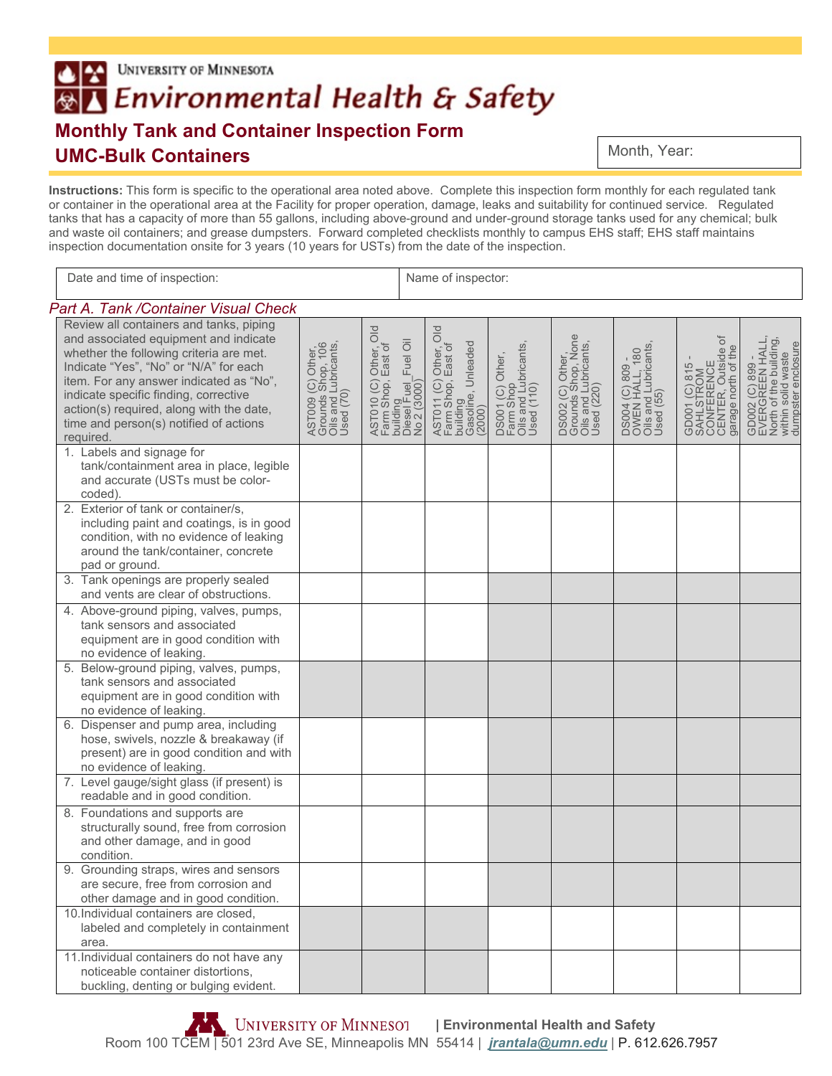# **UNIVERSITY OF MINNESOTA**  $\triangle$   $\approx$ ®∆ Environmental Health & Safety **Monthly Tank and Container Inspection Form UMC-Bulk Containers**

Month, Year:

**Instructions:** This form is specific to the operational area noted above. Complete this inspection form monthly for each regulated tank or container in the operational area at the Facility for proper operation, damage, leaks and suitability for continued service. Regulated tanks that has a capacity of more than 55 gallons, including above-ground and under-ground storage tanks used for any chemical; bulk and waste oil containers; and grease dumpsters. Forward completed checklists monthly to campus EHS staff; EHS staff maintains inspection documentation onsite for 3 years (10 years for USTs) from the date of the inspection.

| Date and time of inspection:                                                                                                                                                                                                                                                                                                                                 |                                                                            |                                                                                                | Name of inspector: |                                                                                         |                                                                     |                                                                              |                                                                        |                                                                                         |                                                                                                          |
|--------------------------------------------------------------------------------------------------------------------------------------------------------------------------------------------------------------------------------------------------------------------------------------------------------------------------------------------------------------|----------------------------------------------------------------------------|------------------------------------------------------------------------------------------------|--------------------|-----------------------------------------------------------------------------------------|---------------------------------------------------------------------|------------------------------------------------------------------------------|------------------------------------------------------------------------|-----------------------------------------------------------------------------------------|----------------------------------------------------------------------------------------------------------|
| Part A. Tank / Container Visual Check                                                                                                                                                                                                                                                                                                                        |                                                                            |                                                                                                |                    |                                                                                         |                                                                     |                                                                              |                                                                        |                                                                                         |                                                                                                          |
| Review all containers and tanks, piping<br>and associated equipment and indicate<br>whether the following criteria are met.<br>Indicate "Yes", "No" or "N/A" for each<br>item. For any answer indicated as "No",<br>indicate specific finding, corrective<br>action(s) required, along with the date,<br>time and person(s) notified of actions<br>required. | AST009 (C) Other<br>Grounds Shop, 106<br>Olis and Lubricants,<br>Used (70) | AST010 (C) Other, Old<br>Farm Shop, East of<br>building<br>Diesel Fuel_Fuel Oil<br>No 2 (3000) |                    | AST011 (C) Other, Old<br>Farm Shop, East of<br>building<br>Gasoline, Unleaded<br>(2000) | DS001 (C) Other,<br>Farm Shop<br>Oils and Lubricants,<br>Used (110) | DS002 (C) Other,<br>Grounds Shop, None<br>Oils and Lubricants,<br>Used (220) | DS004 (C) 809 -<br>OWEN HALL, 180<br>Oils and Lubricants,<br>Used (55) | đ<br>GD001 (C) 815 -<br>SAHLSTROM<br>CONFERENCE<br>CENTER, Outside o<br>garage north of | GD002 (C) 899 -<br>EVERGREEN HALL,<br>North of the building,<br>within solid waste<br>dumpster enclosure |
| 1. Labels and signage for<br>tank/containment area in place, legible<br>and accurate (USTs must be color-<br>coded).                                                                                                                                                                                                                                         |                                                                            |                                                                                                |                    |                                                                                         |                                                                     |                                                                              |                                                                        |                                                                                         |                                                                                                          |
| 2. Exterior of tank or container/s,<br>including paint and coatings, is in good<br>condition, with no evidence of leaking<br>around the tank/container, concrete<br>pad or ground.                                                                                                                                                                           |                                                                            |                                                                                                |                    |                                                                                         |                                                                     |                                                                              |                                                                        |                                                                                         |                                                                                                          |
| 3. Tank openings are properly sealed<br>and vents are clear of obstructions.                                                                                                                                                                                                                                                                                 |                                                                            |                                                                                                |                    |                                                                                         |                                                                     |                                                                              |                                                                        |                                                                                         |                                                                                                          |
| 4. Above-ground piping, valves, pumps,<br>tank sensors and associated<br>equipment are in good condition with<br>no evidence of leaking.                                                                                                                                                                                                                     |                                                                            |                                                                                                |                    |                                                                                         |                                                                     |                                                                              |                                                                        |                                                                                         |                                                                                                          |
| 5. Below-ground piping, valves, pumps,<br>tank sensors and associated<br>equipment are in good condition with<br>no evidence of leaking.                                                                                                                                                                                                                     |                                                                            |                                                                                                |                    |                                                                                         |                                                                     |                                                                              |                                                                        |                                                                                         |                                                                                                          |
| 6. Dispenser and pump area, including<br>hose, swivels, nozzle & breakaway (if<br>present) are in good condition and with<br>no evidence of leaking.                                                                                                                                                                                                         |                                                                            |                                                                                                |                    |                                                                                         |                                                                     |                                                                              |                                                                        |                                                                                         |                                                                                                          |
| 7. Level gauge/sight glass (if present) is<br>readable and in good condition.                                                                                                                                                                                                                                                                                |                                                                            |                                                                                                |                    |                                                                                         |                                                                     |                                                                              |                                                                        |                                                                                         |                                                                                                          |
| 8. Foundations and supports are<br>structurally sound, free from corrosion<br>and other damage, and in good<br>condition.                                                                                                                                                                                                                                    |                                                                            |                                                                                                |                    |                                                                                         |                                                                     |                                                                              |                                                                        |                                                                                         |                                                                                                          |
| 9. Grounding straps, wires and sensors<br>are secure, free from corrosion and<br>other damage and in good condition.                                                                                                                                                                                                                                         |                                                                            |                                                                                                |                    |                                                                                         |                                                                     |                                                                              |                                                                        |                                                                                         |                                                                                                          |
| 10.Individual containers are closed,<br>labeled and completely in containment<br>area.                                                                                                                                                                                                                                                                       |                                                                            |                                                                                                |                    |                                                                                         |                                                                     |                                                                              |                                                                        |                                                                                         |                                                                                                          |
| 11. Individual containers do not have any<br>noticeable container distortions,<br>buckling, denting or bulging evident.                                                                                                                                                                                                                                      |                                                                            |                                                                                                |                    |                                                                                         |                                                                     |                                                                              |                                                                        |                                                                                         |                                                                                                          |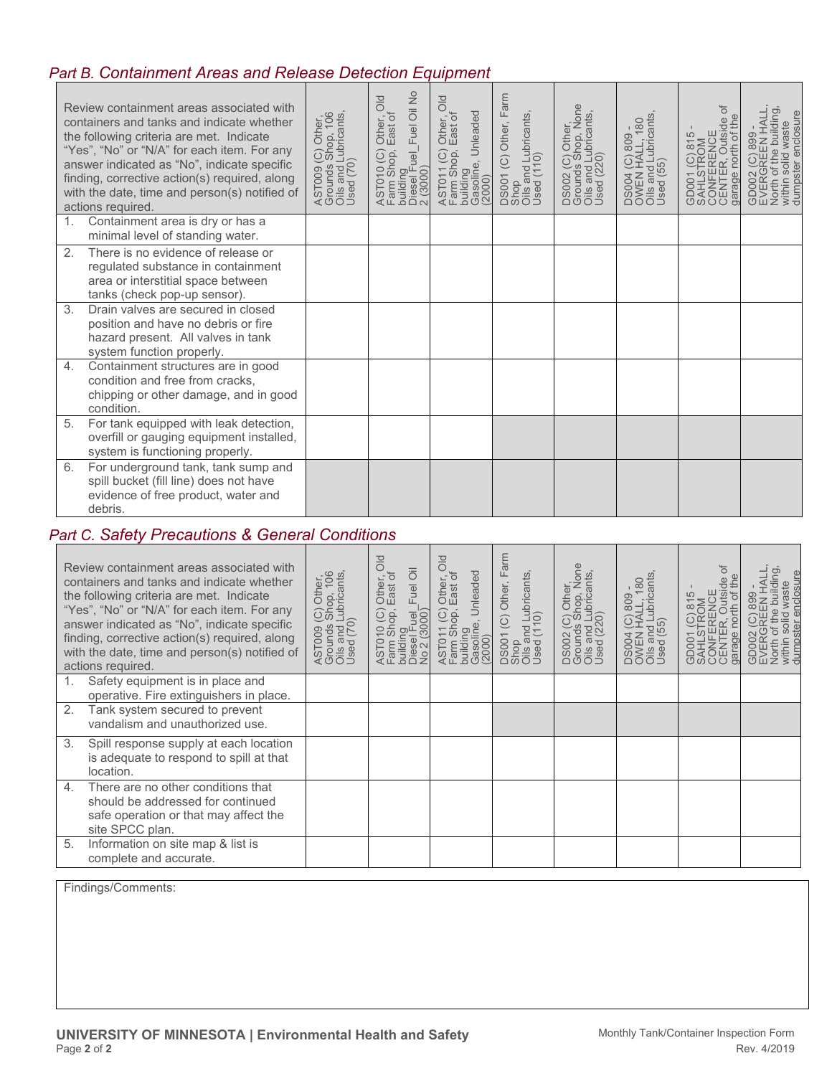#### *Part B. Containment Areas and Release Detection Equipment*

| Review containment areas associated with<br>containers and tanks and indicate whether<br>the following criteria are met. Indicate<br>"Yes", "No" or "N/A" for each item. For any<br>answer indicated as "No", indicate specific<br>finding, corrective action(s) required, along<br>with the date, time and person(s) notified of<br>actions required. | AST009 (C) Other,<br>Grounds Shop, 106<br>Oils and Lubricants,<br>Used (70) | Fuel Oil No<br>$\frac{d}{d}$<br>Other, C<br>East of<br>$AST010(C)$<br>Farm Shop, E<br>building<br>Diesel Fuel_I<br>2 (3000) | <b>DIO</b><br>Unleaded<br>Other, (<br>East of<br>Shop,<br>$\odot$<br>Gasoline,<br>AST011<br>Farm Sh<br>building<br>(2000) | DS001 (C) Other, Farm<br>Shop<br>Oils and Lubricants,<br>Used (110) | DS002 (C) Other,<br>Grounds Shop, None<br>Oils and Lubricants,<br>Used (220) | DS004 (C) 809 -<br>OWEN HALL, 180<br>Oils and Lubricants,<br>Used (55) | ð<br>Outside<br>GD001 (C) 815 -<br>SAHLSTROM<br>CONFERENCE<br>CENTER, Outsid<br>north of<br>garage | GD002 (C) 899 -<br>EVERGREEN HALL,<br>North of the building,<br>within solid waste<br>dumpster enclosure |
|--------------------------------------------------------------------------------------------------------------------------------------------------------------------------------------------------------------------------------------------------------------------------------------------------------------------------------------------------------|-----------------------------------------------------------------------------|-----------------------------------------------------------------------------------------------------------------------------|---------------------------------------------------------------------------------------------------------------------------|---------------------------------------------------------------------|------------------------------------------------------------------------------|------------------------------------------------------------------------|----------------------------------------------------------------------------------------------------|----------------------------------------------------------------------------------------------------------|
| 1.<br>Containment area is dry or has a<br>minimal level of standing water.                                                                                                                                                                                                                                                                             |                                                                             |                                                                                                                             |                                                                                                                           |                                                                     |                                                                              |                                                                        |                                                                                                    |                                                                                                          |
| There is no evidence of release or<br>2.<br>regulated substance in containment<br>area or interstitial space between<br>tanks (check pop-up sensor).                                                                                                                                                                                                   |                                                                             |                                                                                                                             |                                                                                                                           |                                                                     |                                                                              |                                                                        |                                                                                                    |                                                                                                          |
| 3.<br>Drain valves are secured in closed<br>position and have no debris or fire<br>hazard present. All valves in tank<br>system function properly.                                                                                                                                                                                                     |                                                                             |                                                                                                                             |                                                                                                                           |                                                                     |                                                                              |                                                                        |                                                                                                    |                                                                                                          |
| Containment structures are in good<br>4.<br>condition and free from cracks,<br>chipping or other damage, and in good<br>condition.                                                                                                                                                                                                                     |                                                                             |                                                                                                                             |                                                                                                                           |                                                                     |                                                                              |                                                                        |                                                                                                    |                                                                                                          |
| For tank equipped with leak detection,<br>5.<br>overfill or gauging equipment installed,<br>system is functioning properly.                                                                                                                                                                                                                            |                                                                             |                                                                                                                             |                                                                                                                           |                                                                     |                                                                              |                                                                        |                                                                                                    |                                                                                                          |
| For underground tank, tank sump and<br>6.<br>spill bucket (fill line) does not have<br>evidence of free product, water and<br>debris.                                                                                                                                                                                                                  |                                                                             |                                                                                                                             |                                                                                                                           |                                                                     |                                                                              |                                                                        |                                                                                                    |                                                                                                          |

### *Part C. Safety Precautions & General Conditions*

| Review containment areas associated with<br>containers and tanks and indicate whether<br>the following criteria are met. Indicate<br>"Yes", "No" or "N/A" for each item. For any<br>answer indicated as "No", indicate specific<br>finding, corrective action(s) required, along<br>with the date, time and person(s) notified of<br>actions required. | AST009 (C) Other,<br>Grounds Shop, 106<br>Oils and Lubricants,<br>Used (70) | $\frac{d}{d}$<br>Fuel Oil<br>Other, (<br>East of<br>AST010 (C)<br>building<br>Diesel Fuel<br>No 2 (3000)<br>(3000) | $\frac{d}{d}$<br>Unleaded<br>Other, C<br>East of<br>$11$ (C)<br>Shop,<br>building<br>Gasoline,<br>$\overleftarrow{\cdot}$<br>2000)<br>ASTO <sup>-</sup><br>Farm 1 | arm<br>щ<br>and Lubricants,<br>(110)<br>(C) Other,<br>DS001 (C<br>Shop<br>Oils and<br>Used (11 | DS002 (C) Other,<br>Grounds Shop, None<br>Oils and Lubricants,<br>Used (220) | DS004 (C) 809 -<br>OWEN HALL, 180<br>Oils and Lubricants,<br>Used (55) | đ<br>Outside<br>GD001 (C) 815<br>SAHLSTROM<br>CONFERENCE<br>CENTER,<br>garage | building,<br>HALL<br>enclosure<br>ste<br>899<br>wa<br>REEN<br>$\circ$<br>solid<br>within solic<br>dumpster<br>đ<br>GD002 (<br>EVERGF<br>North |
|--------------------------------------------------------------------------------------------------------------------------------------------------------------------------------------------------------------------------------------------------------------------------------------------------------------------------------------------------------|-----------------------------------------------------------------------------|--------------------------------------------------------------------------------------------------------------------|-------------------------------------------------------------------------------------------------------------------------------------------------------------------|------------------------------------------------------------------------------------------------|------------------------------------------------------------------------------|------------------------------------------------------------------------|-------------------------------------------------------------------------------|-----------------------------------------------------------------------------------------------------------------------------------------------|
| Safety equipment is in place and<br>1.<br>operative. Fire extinguishers in place.                                                                                                                                                                                                                                                                      |                                                                             |                                                                                                                    |                                                                                                                                                                   |                                                                                                |                                                                              |                                                                        |                                                                               |                                                                                                                                               |
| Tank system secured to prevent<br>2.<br>vandalism and unauthorized use.                                                                                                                                                                                                                                                                                |                                                                             |                                                                                                                    |                                                                                                                                                                   |                                                                                                |                                                                              |                                                                        |                                                                               |                                                                                                                                               |
| 3.<br>Spill response supply at each location<br>is adequate to respond to spill at that<br>location.                                                                                                                                                                                                                                                   |                                                                             |                                                                                                                    |                                                                                                                                                                   |                                                                                                |                                                                              |                                                                        |                                                                               |                                                                                                                                               |
| There are no other conditions that<br>4.<br>should be addressed for continued<br>safe operation or that may affect the<br>site SPCC plan.                                                                                                                                                                                                              |                                                                             |                                                                                                                    |                                                                                                                                                                   |                                                                                                |                                                                              |                                                                        |                                                                               |                                                                                                                                               |
| 5.<br>Information on site map & list is<br>complete and accurate.                                                                                                                                                                                                                                                                                      |                                                                             |                                                                                                                    |                                                                                                                                                                   |                                                                                                |                                                                              |                                                                        |                                                                               |                                                                                                                                               |

Findings/Comments: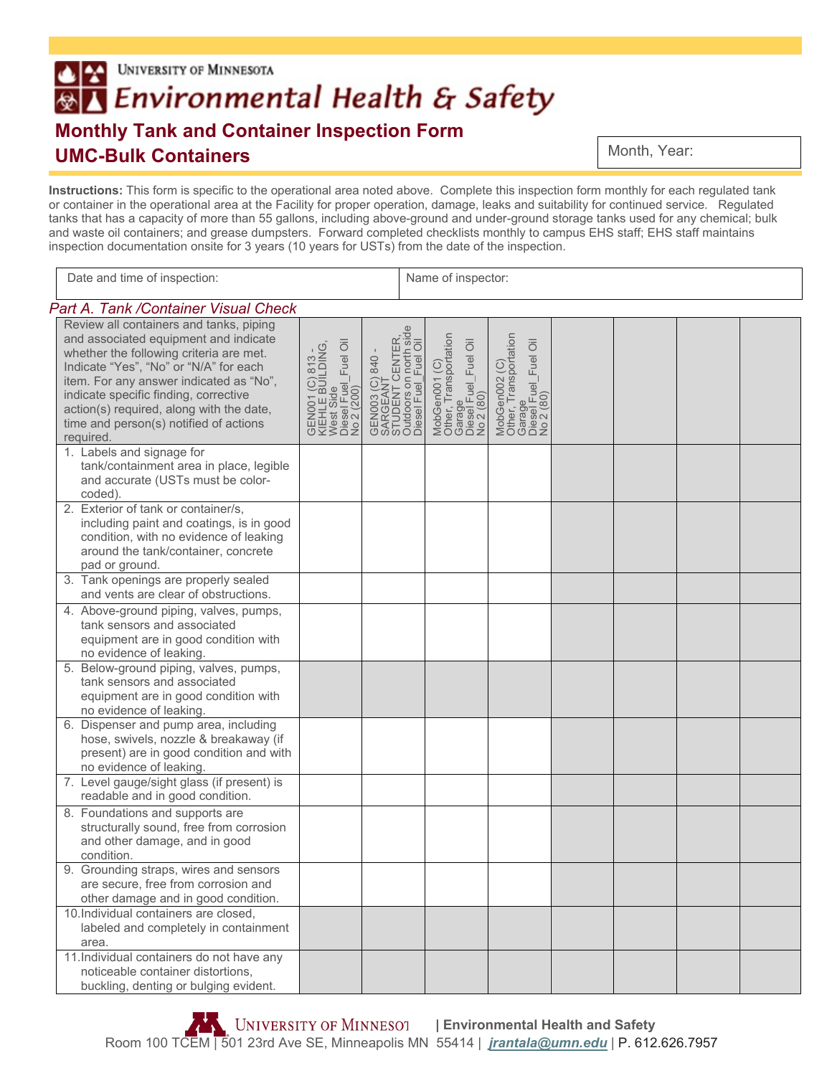# **UNIVERSITY OF MINNESOTA**  $\triangle$   $\approx$ ®∆ Environmental Health & Safety **Monthly Tank and Container Inspection Form UMC-Bulk Containers**

Month, Year:

**Instructions:** This form is specific to the operational area noted above. Complete this inspection form monthly for each regulated tank or container in the operational area at the Facility for proper operation, damage, leaks and suitability for continued service. Regulated tanks that has a capacity of more than 55 gallons, including above-ground and under-ground storage tanks used for any chemical; bulk and waste oil containers; and grease dumpsters. Forward completed checklists monthly to campus EHS staff; EHS staff maintains inspection documentation onsite for 3 years (10 years for USTs) from the date of the inspection.

| Date and time of inspection:                                                                                                                                                                                                                                                                                                                                 |                                                                                         |                                                                                                   | Name of inspector:                                                                     |                                                                                        |  |  |  |  |
|--------------------------------------------------------------------------------------------------------------------------------------------------------------------------------------------------------------------------------------------------------------------------------------------------------------------------------------------------------------|-----------------------------------------------------------------------------------------|---------------------------------------------------------------------------------------------------|----------------------------------------------------------------------------------------|----------------------------------------------------------------------------------------|--|--|--|--|
| Part A. Tank / Container Visual Check                                                                                                                                                                                                                                                                                                                        |                                                                                         |                                                                                                   |                                                                                        |                                                                                        |  |  |  |  |
| Review all containers and tanks, piping<br>and associated equipment and indicate<br>whether the following criteria are met.<br>Indicate "Yes", "No" or "N/A" for each<br>item. For any answer indicated as "No",<br>indicate specific finding, corrective<br>action(s) required, along with the date,<br>time and person(s) notified of actions<br>required. | GEN001 (C) 813 -<br>KIEHLE BUILDING,<br>West Side<br>Diesel Fuel_Fuel Oil<br>No 2 (200) | GEN003 (C) 840 -<br>SARGEANT<br>STUDENT CENTER,<br>Outdoors on north side<br>Diesel Fuel_Fuel Oil | MobGen001 (C)<br>Other, Transportation<br>Garage<br>Diesel Fuel _Fuel Oil<br>No 2 (80) | MobGen002 (C)<br>Other, Transportation<br>Garage<br>Diesel Fuel _Fuel Oil<br>No 2 (80) |  |  |  |  |
| 1. Labels and signage for<br>tank/containment area in place, legible<br>and accurate (USTs must be color-<br>coded).                                                                                                                                                                                                                                         |                                                                                         |                                                                                                   |                                                                                        |                                                                                        |  |  |  |  |
| 2. Exterior of tank or container/s,<br>including paint and coatings, is in good<br>condition, with no evidence of leaking<br>around the tank/container, concrete<br>pad or ground.                                                                                                                                                                           |                                                                                         |                                                                                                   |                                                                                        |                                                                                        |  |  |  |  |
| 3. Tank openings are properly sealed<br>and vents are clear of obstructions.                                                                                                                                                                                                                                                                                 |                                                                                         |                                                                                                   |                                                                                        |                                                                                        |  |  |  |  |
| 4. Above-ground piping, valves, pumps,<br>tank sensors and associated<br>equipment are in good condition with<br>no evidence of leaking.                                                                                                                                                                                                                     |                                                                                         |                                                                                                   |                                                                                        |                                                                                        |  |  |  |  |
| 5. Below-ground piping, valves, pumps,<br>tank sensors and associated<br>equipment are in good condition with<br>no evidence of leaking.                                                                                                                                                                                                                     |                                                                                         |                                                                                                   |                                                                                        |                                                                                        |  |  |  |  |
| 6. Dispenser and pump area, including<br>hose, swivels, nozzle & breakaway (if<br>present) are in good condition and with<br>no evidence of leaking.                                                                                                                                                                                                         |                                                                                         |                                                                                                   |                                                                                        |                                                                                        |  |  |  |  |
| 7. Level gauge/sight glass (if present) is<br>readable and in good condition.                                                                                                                                                                                                                                                                                |                                                                                         |                                                                                                   |                                                                                        |                                                                                        |  |  |  |  |
| 8. Foundations and supports are<br>structurally sound, free from corrosion<br>and other damage, and in good<br>condition.                                                                                                                                                                                                                                    |                                                                                         |                                                                                                   |                                                                                        |                                                                                        |  |  |  |  |
| 9. Grounding straps, wires and sensors<br>are secure, free from corrosion and<br>other damage and in good condition.                                                                                                                                                                                                                                         |                                                                                         |                                                                                                   |                                                                                        |                                                                                        |  |  |  |  |
| 10.Individual containers are closed,<br>labeled and completely in containment<br>area.                                                                                                                                                                                                                                                                       |                                                                                         |                                                                                                   |                                                                                        |                                                                                        |  |  |  |  |
| 11. Individual containers do not have any<br>noticeable container distortions,<br>buckling, denting or bulging evident.                                                                                                                                                                                                                                      |                                                                                         |                                                                                                   |                                                                                        |                                                                                        |  |  |  |  |